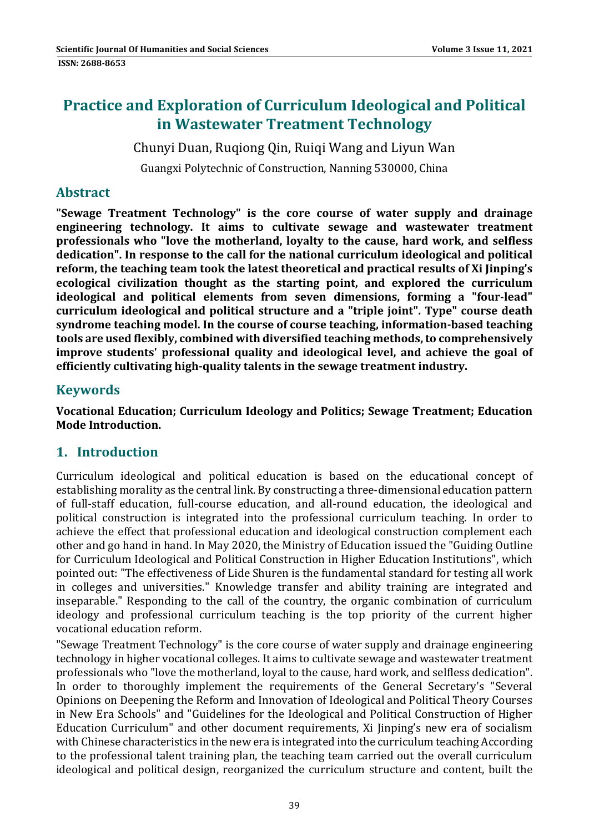# **Practice and Exploration of Curriculum Ideological and Political in Wastewater Treatment Technology**

Chunyi Duan, Ruqiong Qin, Ruiqi Wang and Liyun Wan

Guangxi Polytechnic of Construction, Nanning 530000, China

#### **Abstract**

**"Sewage Treatment Technology" is the core course of water supply and drainage engineering technology. It aims to cultivate sewage and wastewater treatment professionals who "love the motherland, loyalty to the cause, hard work, and selfless dedication". In response to the call for the national curriculum ideological and political reform, the teaching team took the latest theoretical and practical results of Xi Jinping's ecological civilization thought as the starting point, and explored the curriculum ideological and political elements from seven dimensions, forming a "four‐lead" curriculum ideological and political structure and a "triple joint". Type" course death syndrome teaching model. In the course of course teaching, information‐based teaching tools are used flexibly, combined with diversified teaching methods, to comprehensively improve students' professional quality and ideological level, and achieve the goal of efficiently cultivating high‐quality talents in the sewage treatment industry.**

#### **Keywords**

**Vocational Education; Curriculum Ideology and Politics; Sewage Treatment; Education Mode Introduction.**

#### **1. Introduction**

Curriculum ideological and political education is based on the educational concept of establishing morality as the central link. By constructing a three-dimensional education pattern of full-staff education, full-course education, and all-round education, the ideological and political construction is integrated into the professional curriculum teaching. In order to achieve the effect that professional education and ideological construction complement each other and go hand in hand. In May 2020, the Ministry of Education issued the "Guiding Outline" for Curriculum Ideological and Political Construction in Higher Education Institutions", which pointed out: "The effectiveness of Lide Shuren is the fundamental standard for testing all work in colleges and universities." Knowledge transfer and ability training are integrated and inseparable." Responding to the call of the country, the organic combination of curriculum ideology and professional curriculum teaching is the top priority of the current higher vocational education reform.

"Sewage Treatment Technology" is the core course of water supply and drainage engineering technology in higher vocational colleges. It aims to cultivate sewage and wastewater treatment professionals who "love the motherland, loyal to the cause, hard work, and selfless dedication". In order to thoroughly implement the requirements of the General Secretary's "Several Opinions on Deepening the Reform and Innovation of Ideological and Political Theory Courses in New Era Schools" and "Guidelines for the Ideological and Political Construction of Higher Education Curriculum" and other document requirements, Xi Jinping's new era of socialism with Chinese characteristics in the new era is integrated into the curriculum teaching According to the professional talent training plan, the teaching team carried out the overall curriculum ideological and political design, reorganized the curriculum structure and content, built the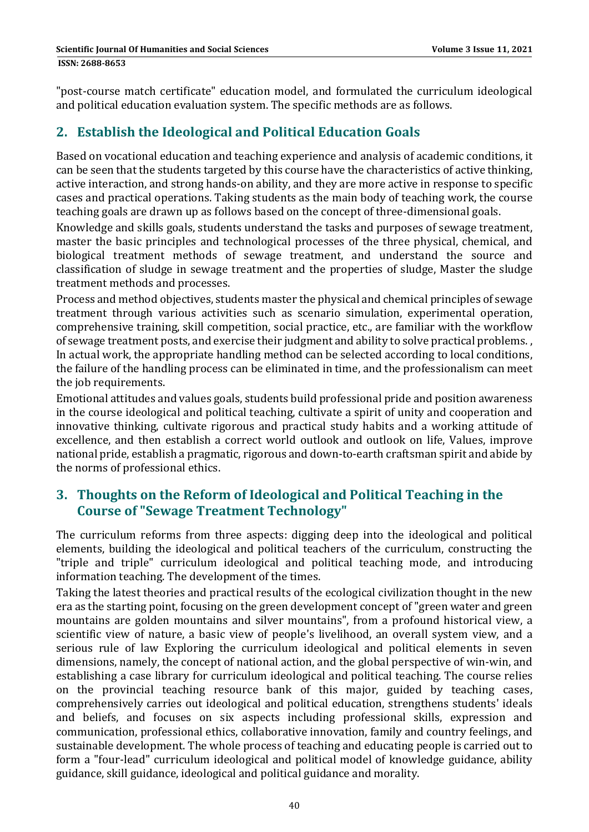"post-course match certificate" education model, and formulated the curriculum ideological and political education evaluation system. The specific methods are as follows.

# **2. Establish the Ideological and Political Education Goals**

Based on vocational education and teaching experience and analysis of academic conditions, it can be seen that the students targeted by this course have the characteristics of active thinking, active interaction, and strong hands-on ability, and they are more active in response to specific cases and practical operations. Taking students as the main body of teaching work, the course teaching goals are drawn up as follows based on the concept of three-dimensional goals.

Knowledge and skills goals, students understand the tasks and purposes of sewage treatment, master the basic principles and technological processes of the three physical, chemical, and biological treatment methods of sewage treatment, and understand the source and classification of sludge in sewage treatment and the properties of sludge, Master the sludge treatment methods and processes.

Process and method objectives, students master the physical and chemical principles of sewage treatment through various activities such as scenario simulation, experimental operation, comprehensive training, skill competition, social practice, etc., are familiar with the workflow of sewage treatment posts, and exercise their judgment and ability to solve practical problems. In actual work, the appropriate handling method can be selected according to local conditions, the failure of the handling process can be eliminated in time, and the professionalism can meet the job requirements.

Emotional attitudes and values goals, students build professional pride and position awareness in the course ideological and political teaching, cultivate a spirit of unity and cooperation and innovative thinking, cultivate rigorous and practical study habits and a working attitude of excellence, and then establish a correct world outlook and outlook on life, Values, improve national pride, establish a pragmatic, rigorous and down-to-earth craftsman spirit and abide by the norms of professional ethics.

# **3. Thoughts on the Reform of Ideological and Political Teaching in the Course of "Sewage Treatment Technology"**

The curriculum reforms from three aspects: digging deep into the ideological and political elements, building the ideological and political teachers of the curriculum, constructing the "triple and triple" curriculum ideological and political teaching mode, and introducing information teaching. The development of the times.

Taking the latest theories and practical results of the ecological civilization thought in the new era as the starting point, focusing on the green development concept of "green water and green mountains are golden mountains and silver mountains", from a profound historical view, a scientific view of nature, a basic view of people's livelihood, an overall system view, and a serious rule of law Exploring the curriculum ideological and political elements in seven dimensions, namely, the concept of national action, and the global perspective of win-win, and establishing a case library for curriculum ideological and political teaching. The course relies on the provincial teaching resource bank of this major, guided by teaching cases, comprehensively carries out ideological and political education, strengthens students' ideals and beliefs, and focuses on six aspects including professional skills, expression and communication, professional ethics, collaborative innovation, family and country feelings, and sustainable development. The whole process of teaching and educating people is carried out to form a "four-lead" curriculum ideological and political model of knowledge guidance, ability guidance, skill guidance, ideological and political guidance and morality.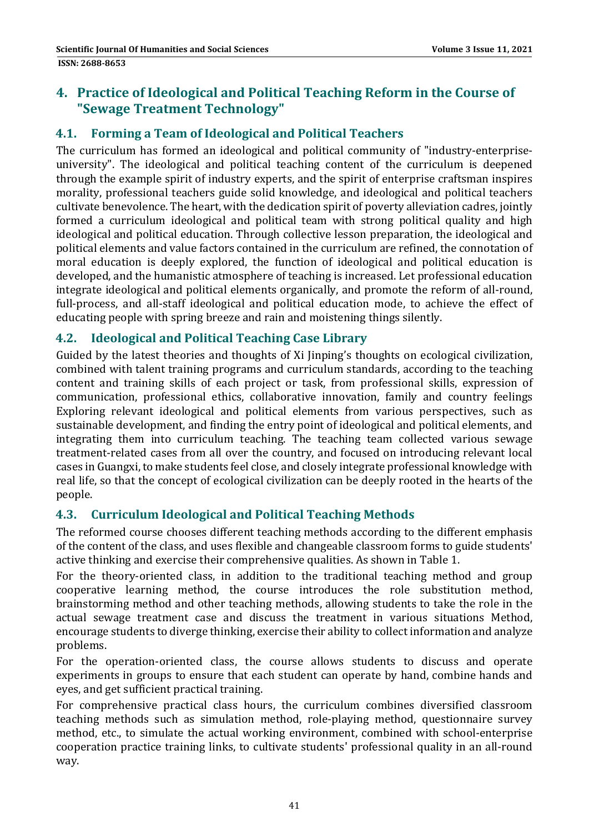# **4. Practice of Ideological and Political Teaching Reform in the Course of "Sewage Treatment Technology"**

#### **4.1. Forming a Team of Ideological and Political Teachers**

The curriculum has formed an ideological and political community of "industry-enterpriseuniversity". The ideological and political teaching content of the curriculum is deepened through the example spirit of industry experts, and the spirit of enterprise craftsman inspires morality, professional teachers guide solid knowledge, and ideological and political teachers cultivate benevolence. The heart, with the dedication spirit of poverty alleviation cadres, jointly formed a curriculum ideological and political team with strong political quality and high ideological and political education. Through collective lesson preparation, the ideological and political elements and value factors contained in the curriculum are refined, the connotation of moral education is deeply explored, the function of ideological and political education is developed, and the humanistic atmosphere of teaching is increased. Let professional education integrate ideological and political elements organically, and promote the reform of all-round, full-process, and all-staff ideological and political education mode, to achieve the effect of educating people with spring breeze and rain and moistening things silently.

#### **4.2. Ideological and Political Teaching Case Library**

Guided by the latest theories and thoughts of Xi Jinping's thoughts on ecological civilization, combined with talent training programs and curriculum standards, according to the teaching content and training skills of each project or task, from professional skills, expression of communication, professional ethics, collaborative innovation, family and country feelings Exploring relevant ideological and political elements from various perspectives, such as sustainable development, and finding the entry point of ideological and political elements, and integrating them into curriculum teaching. The teaching team collected various sewage treatment-related cases from all over the country, and focused on introducing relevant local cases in Guangxi, to make students feel close, and closely integrate professional knowledge with real life, so that the concept of ecological civilization can be deeply rooted in the hearts of the people. 

#### **4.3. Curriculum Ideological and Political Teaching Methods**

The reformed course chooses different teaching methods according to the different emphasis of the content of the class, and uses flexible and changeable classroom forms to guide students' active thinking and exercise their comprehensive qualities. As shown in Table 1.

For the theory-oriented class, in addition to the traditional teaching method and group cooperative learning method, the course introduces the role substitution method, brainstorming method and other teaching methods, allowing students to take the role in the actual sewage treatment case and discuss the treatment in various situations Method, encourage students to diverge thinking, exercise their ability to collect information and analyze problems. 

For the operation-oriented class, the course allows students to discuss and operate experiments in groups to ensure that each student can operate by hand, combine hands and eyes, and get sufficient practical training.

For comprehensive practical class hours, the curriculum combines diversified classroom teaching methods such as simulation method, role-playing method, questionnaire survey method, etc., to simulate the actual working environment, combined with school-enterprise cooperation practice training links, to cultivate students' professional quality in an all-round way.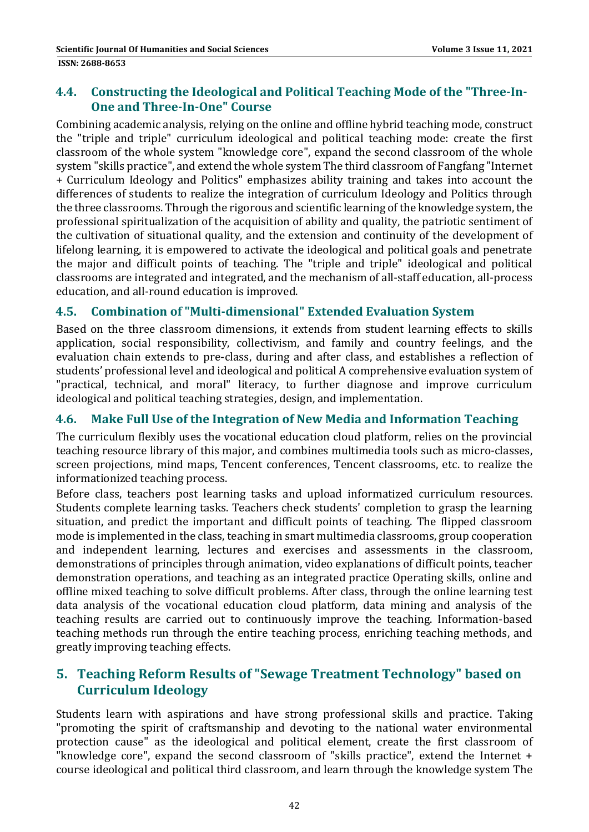#### **4.4. Constructing the Ideological and Political Teaching Mode of the "Three‐In‐ One and Three‐In‐One" Course**

Combining academic analysis, relying on the online and offline hybrid teaching mode, construct the "triple and triple" curriculum ideological and political teaching mode: create the first classroom of the whole system "knowledge core", expand the second classroom of the whole system "skills practice", and extend the whole system The third classroom of Fangfang "Internet + Curriculum Ideology and Politics" emphasizes ability training and takes into account the differences of students to realize the integration of curriculum Ideology and Politics through the three classrooms. Through the rigorous and scientific learning of the knowledge system, the professional spiritualization of the acquisition of ability and quality, the patriotic sentiment of the cultivation of situational quality, and the extension and continuity of the development of lifelong learning, it is empowered to activate the ideological and political goals and penetrate the major and difficult points of teaching. The "triple and triple" ideological and political classrooms are integrated and integrated, and the mechanism of all-staff education, all-process education, and all-round education is improved.

#### **4.5. Combination of "Multi‐dimensional" Extended Evaluation System**

Based on the three classroom dimensions, it extends from student learning effects to skills application, social responsibility, collectivism, and family and country feelings, and the evaluation chain extends to pre-class, during and after class, and establishes a reflection of students' professional level and ideological and political A comprehensive evaluation system of "practical, technical, and moral" literacy, to further diagnose and improve curriculum ideological and political teaching strategies, design, and implementation.

#### **4.6. Make Full Use of the Integration of New Media and Information Teaching**

The curriculum flexibly uses the vocational education cloud platform, relies on the provincial teaching resource library of this major, and combines multimedia tools such as micro-classes, screen projections, mind maps, Tencent conferences, Tencent classrooms, etc. to realize the informationized teaching process.

Before class, teachers post learning tasks and upload informatized curriculum resources. Students complete learning tasks. Teachers check students' completion to grasp the learning situation, and predict the important and difficult points of teaching. The flipped classroom mode is implemented in the class, teaching in smart multimedia classrooms, group cooperation and independent learning, lectures and exercises and assessments in the classroom, demonstrations of principles through animation, video explanations of difficult points, teacher demonstration operations, and teaching as an integrated practice Operating skills, online and offline mixed teaching to solve difficult problems. After class, through the online learning test data analysis of the vocational education cloud platform, data mining and analysis of the teaching results are carried out to continuously improve the teaching. Information-based teaching methods run through the entire teaching process, enriching teaching methods, and greatly improving teaching effects.

### **5. Teaching Reform Results of "Sewage Treatment Technology" based on Curriculum Ideology**

Students learn with aspirations and have strong professional skills and practice. Taking "promoting the spirit of craftsmanship and devoting to the national water environmental protection cause" as the ideological and political element, create the first classroom of "knowledge core", expand the second classroom of "skills practice", extend the Internet + course ideological and political third classroom, and learn through the knowledge system The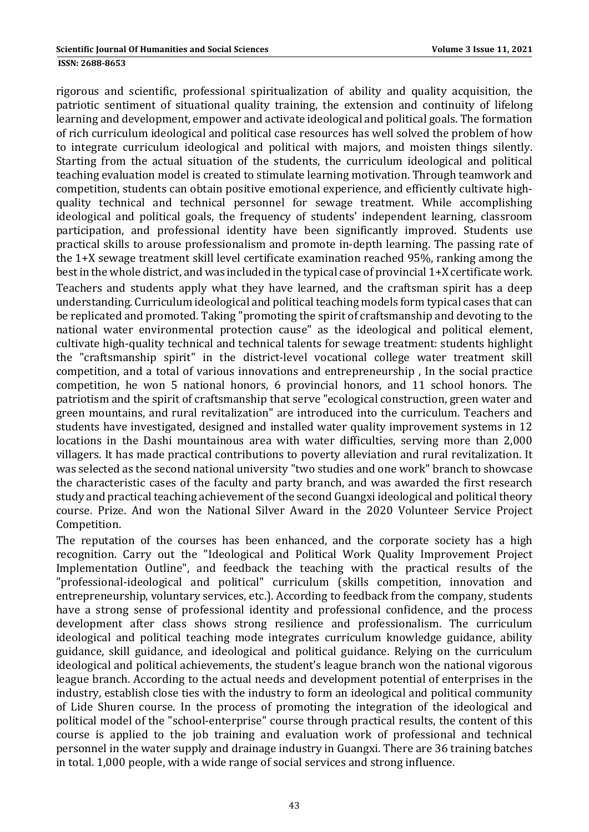rigorous and scientific, professional spiritualization of ability and quality acquisition, the patriotic sentiment of situational quality training, the extension and continuity of lifelong learning and development, empower and activate ideological and political goals. The formation of rich curriculum ideological and political case resources has well solved the problem of how to integrate curriculum ideological and political with majors, and moisten things silently. Starting from the actual situation of the students, the curriculum ideological and political teaching evaluation model is created to stimulate learning motivation. Through teamwork and competition, students can obtain positive emotional experience, and efficiently cultivate highquality technical and technical personnel for sewage treatment. While accomplishing ideological and political goals, the frequency of students' independent learning, classroom participation, and professional identity have been significantly improved. Students use practical skills to arouse professionalism and promote in-depth learning. The passing rate of the  $1+X$  sewage treatment skill level certificate examination reached  $95\%$ , ranking among the best in the whole district, and was included in the typical case of provincial  $1+X$  certificate work. Teachers and students apply what they have learned, and the craftsman spirit has a deep understanding. Curriculum ideological and political teaching models form typical cases that can be replicated and promoted. Taking "promoting the spirit of craftsmanship and devoting to the national water environmental protection cause" as the ideological and political element, cultivate high-quality technical and technical talents for sewage treatment: students highlight the "craftsmanship spirit" in the district-level vocational college water treatment skill competition, and a total of various innovations and entrepreneurship, In the social practice competition, he won 5 national honors, 6 provincial honors, and 11 school honors. The patriotism and the spirit of craftsmanship that serve "ecological construction, green water and green mountains, and rural revitalization" are introduced into the curriculum. Teachers and students have investigated, designed and installed water quality improvement systems in 12 locations in the Dashi mountainous area with water difficulties, serving more than 2,000 villagers. It has made practical contributions to poverty alleviation and rural revitalization. It was selected as the second national university "two studies and one work" branch to showcase the characteristic cases of the faculty and party branch, and was awarded the first research study and practical teaching achievement of the second Guangxi ideological and political theory course. Prize. And won the National Silver Award in the 2020 Volunteer Service Project Competition. 

The reputation of the courses has been enhanced, and the corporate society has a high recognition. Carry out the "Ideological and Political Work Quality Improvement Project Implementation Outline", and feedback the teaching with the practical results of the "professional-ideological and political" curriculum (skills competition, innovation and entrepreneurship, voluntary services, etc.). According to feedback from the company, students have a strong sense of professional identity and professional confidence, and the process development after class shows strong resilience and professionalism. The curriculum ideological and political teaching mode integrates curriculum knowledge guidance, ability guidance, skill guidance, and ideological and political guidance. Relying on the curriculum ideological and political achievements, the student's league branch won the national vigorous league branch. According to the actual needs and development potential of enterprises in the industry, establish close ties with the industry to form an ideological and political community of Lide Shuren course. In the process of promoting the integration of the ideological and political model of the "school-enterprise" course through practical results, the content of this course is applied to the job training and evaluation work of professional and technical personnel in the water supply and drainage industry in Guangxi. There are 36 training batches in total.  $1,000$  people, with a wide range of social services and strong influence.